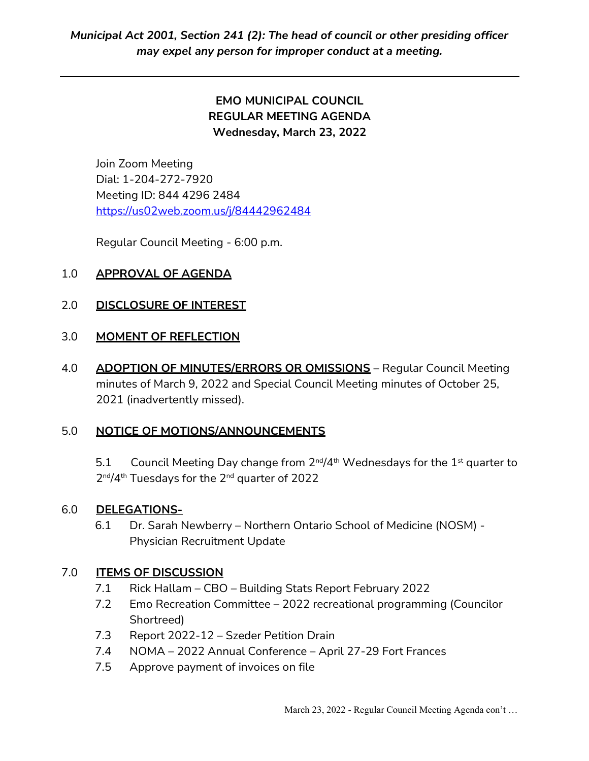# EMO MUNICIPAL COUNCIL REGULAR MEETING AGENDA Wednesday, March 23, 2022

Join Zoom Meeting Dial: 1-204-272-7920 Meeting ID: 844 4296 2484 https://us02web.zoom.us/j/84442962484

Regular Council Meeting - 6:00 p.m.

## 1.0 APPROVAL OF AGENDA

### 2.0 DISCLOSURE OF INTEREST

### 3.0 MOMENT OF REFLECTION

4.0 ADOPTION OF MINUTES/ERRORS OR OMISSIONS - Regular Council Meeting minutes of March 9, 2022 and Special Council Meeting minutes of October 25, 2021 (inadvertently missed).

## 5.0 NOTICE OF MOTIONS/ANNOUNCEMENTS

5.1 Council Meeting Day change from  $2^{nd}/4^{th}$  Wednesdays for the  $1^{st}$  quarter to 2 nd/4th Tuesdays for the 2nd quarter of 2022

### 6.0 DELEGATIONS-

6.1 Dr. Sarah Newberry – Northern Ontario School of Medicine (NOSM) - Physician Recruitment Update

### 7.0 ITEMS OF DISCUSSION

- 7.1 Rick Hallam CBO Building Stats Report February 2022
- 7.2 Emo Recreation Committee 2022 recreational programming (Councilor Shortreed)
- 7.3 Report 2022-12 Szeder Petition Drain
- 7.4 NOMA 2022 Annual Conference April 27-29 Fort Frances
- 7.5 Approve payment of invoices on file